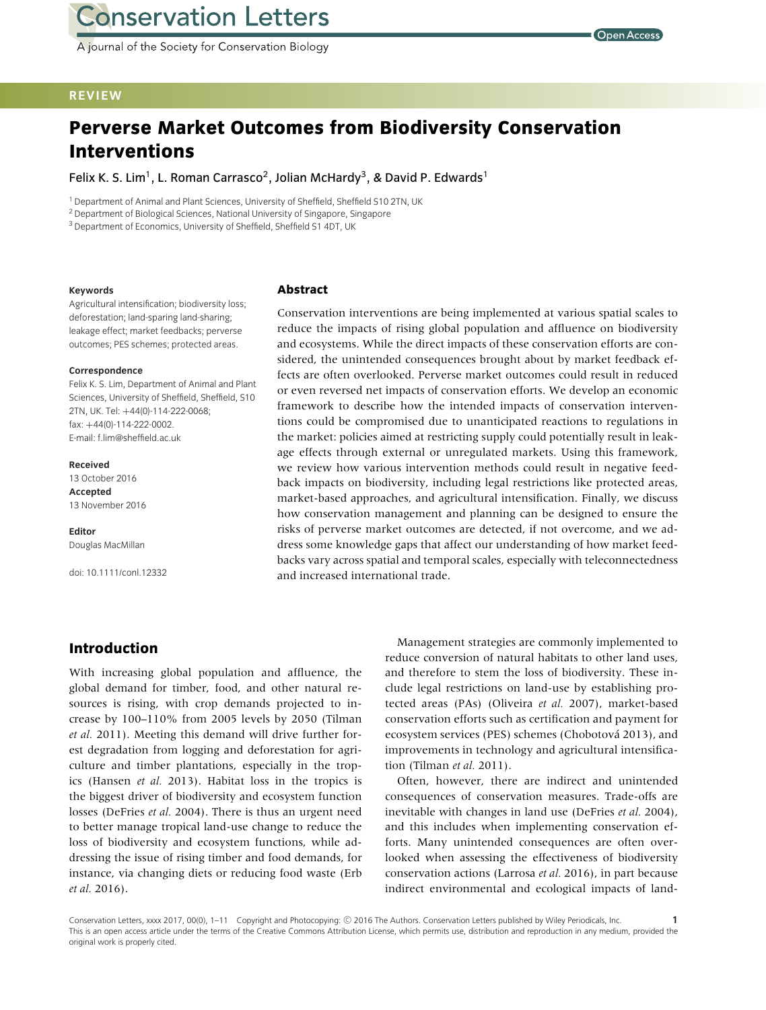A journal of the Society for Conservation Biology

# **REVIEW**

# **Perverse Market Outcomes from Biodiversity Conservation Interventions**

Felix K. S. Lim<sup>1</sup>, L. Roman Carrasco<sup>2</sup>, Jolian McHardy<sup>3</sup>, & David P. Edwards<sup>1</sup>

<sup>1</sup> Department of Animal and Plant Sciences, University of Sheffield, Sheffield S10 2TN, UK

<sup>2</sup> Department of Biological Sciences, National University of Singapore, Singapore

<sup>3</sup> Department of Economics, University of Sheffield, Sheffield S1 4DT, UK

#### **Keywords**

## **Abstract**

Agricultural intensification; biodiversity loss; deforestation; land-sparing land-sharing; leakage effect; market feedbacks; perverse outcomes; PES schemes; protected areas.

#### **Correspondence**

Felix K. S. Lim, Department of Animal and Plant Sciences, University of Sheffield, Sheffield, S10 2TN, UK. Tel: +44(0)-114-222-0068; fax: +44(0)-114-222-0002. E-mail: f.lim@sheffield.ac.uk

#### **Received**

13 October 2016 **Accepted** 13 November 2016

**Editor** Douglas MacMillan

doi: 10.1111/conl.12332

Conservation interventions are being implemented at various spatial scales to reduce the impacts of rising global population and affluence on biodiversity and ecosystems. While the direct impacts of these conservation efforts are considered, the unintended consequences brought about by market feedback effects are often overlooked. Perverse market outcomes could result in reduced or even reversed net impacts of conservation efforts. We develop an economic framework to describe how the intended impacts of conservation interventions could be compromised due to unanticipated reactions to regulations in the market: policies aimed at restricting supply could potentially result in leakage effects through external or unregulated markets. Using this framework, we review how various intervention methods could result in negative feedback impacts on biodiversity, including legal restrictions like protected areas, market-based approaches, and agricultural intensification. Finally, we discuss how conservation management and planning can be designed to ensure the risks of perverse market outcomes are detected, if not overcome, and we address some knowledge gaps that affect our understanding of how market feedbacks vary across spatial and temporal scales, especially with teleconnectedness and increased international trade.

# **Introduction**

With increasing global population and affluence, the global demand for timber, food, and other natural resources is rising, with crop demands projected to increase by 100–110% from 2005 levels by 2050 (Tilman *et al.* 2011). Meeting this demand will drive further forest degradation from logging and deforestation for agriculture and timber plantations, especially in the tropics (Hansen *et al.* 2013). Habitat loss in the tropics is the biggest driver of biodiversity and ecosystem function losses (DeFries *et al.* 2004). There is thus an urgent need to better manage tropical land-use change to reduce the loss of biodiversity and ecosystem functions, while addressing the issue of rising timber and food demands, for instance, via changing diets or reducing food waste (Erb *et al.* 2016).

Management strategies are commonly implemented to reduce conversion of natural habitats to other land uses, and therefore to stem the loss of biodiversity. These include legal restrictions on land-use by establishing protected areas (PAs) (Oliveira *et al.* 2007), market-based conservation efforts such as certification and payment for ecosystem services (PES) schemes (Chobotová 2013), and improvements in technology and agricultural intensification (Tilman *et al.* 2011).

Often, however, there are indirect and unintended consequences of conservation measures. Trade-offs are inevitable with changes in land use (DeFries *et al.* 2004), and this includes when implementing conservation efforts. Many unintended consequences are often overlooked when assessing the effectiveness of biodiversity conservation actions (Larrosa *et al.* 2016), in part because indirect environmental and ecological impacts of land-

Conservation Letters, xxxx 2017, 00(0), 1–11 Copyright and Photocopying: © 2016 The Authors. Conservation Letters published by Wiley Periodicals, Inc. **1** This is an open access article under the terms of the Creative Commons Attribution License, which permits use, distribution and reproduction in any medium, provided the original work is properly cited.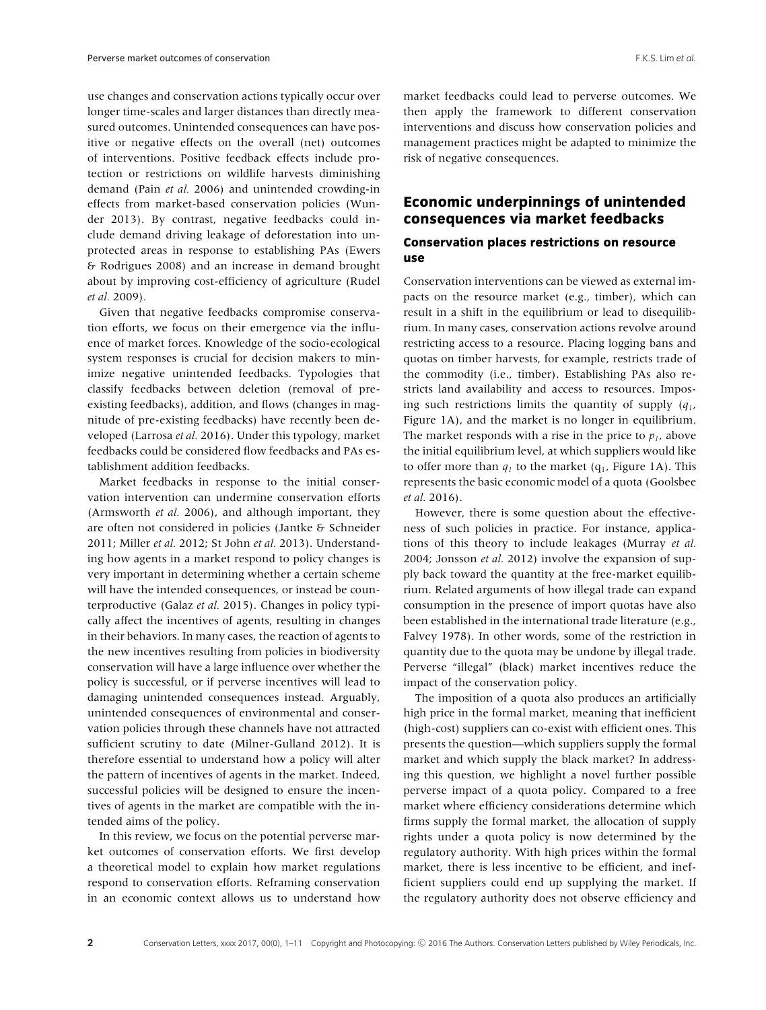use changes and conservation actions typically occur over longer time-scales and larger distances than directly measured outcomes. Unintended consequences can have positive or negative effects on the overall (net) outcomes of interventions. Positive feedback effects include protection or restrictions on wildlife harvests diminishing demand (Pain *et al.* 2006) and unintended crowding-in effects from market-based conservation policies (Wunder 2013). By contrast, negative feedbacks could include demand driving leakage of deforestation into unprotected areas in response to establishing PAs (Ewers & Rodrigues 2008) and an increase in demand brought about by improving cost-efficiency of agriculture (Rudel *et al.* 2009).

Given that negative feedbacks compromise conservation efforts, we focus on their emergence via the influence of market forces. Knowledge of the socio-ecological system responses is crucial for decision makers to minimize negative unintended feedbacks. Typologies that classify feedbacks between deletion (removal of preexisting feedbacks), addition, and flows (changes in magnitude of pre-existing feedbacks) have recently been developed (Larrosa *et al.* 2016). Under this typology, market feedbacks could be considered flow feedbacks and PAs establishment addition feedbacks.

Market feedbacks in response to the initial conservation intervention can undermine conservation efforts (Armsworth *et al.* 2006), and although important, they are often not considered in policies (Jantke & Schneider 2011; Miller *et al.* 2012; St John *et al.* 2013). Understanding how agents in a market respond to policy changes is very important in determining whether a certain scheme will have the intended consequences, or instead be counterproductive (Galaz *et al.* 2015). Changes in policy typically affect the incentives of agents, resulting in changes in their behaviors. In many cases, the reaction of agents to the new incentives resulting from policies in biodiversity conservation will have a large influence over whether the policy is successful, or if perverse incentives will lead to damaging unintended consequences instead. Arguably, unintended consequences of environmental and conservation policies through these channels have not attracted sufficient scrutiny to date (Milner-Gulland 2012). It is therefore essential to understand how a policy will alter the pattern of incentives of agents in the market. Indeed, successful policies will be designed to ensure the incentives of agents in the market are compatible with the intended aims of the policy.

In this review, we focus on the potential perverse market outcomes of conservation efforts. We first develop a theoretical model to explain how market regulations respond to conservation efforts. Reframing conservation in an economic context allows us to understand how market feedbacks could lead to perverse outcomes. We then apply the framework to different conservation interventions and discuss how conservation policies and management practices might be adapted to minimize the risk of negative consequences.

# **Economic underpinnings of unintended consequences via market feedbacks**

# **Conservation places restrictions on resource use**

Conservation interventions can be viewed as external impacts on the resource market (e.g., timber), which can result in a shift in the equilibrium or lead to disequilibrium. In many cases, conservation actions revolve around restricting access to a resource. Placing logging bans and quotas on timber harvests, for example, restricts trade of the commodity (i.e., timber). Establishing PAs also restricts land availability and access to resources. Imposing such restrictions limits the quantity of supply (*q1*, Figure 1A), and the market is no longer in equilibrium. The market responds with a rise in the price to  $p_l$ , above the initial equilibrium level, at which suppliers would like to offer more than  $q_1$  to the market ( $q_1$ , Figure 1A). This represents the basic economic model of a quota (Goolsbee *et al.* 2016).

However, there is some question about the effectiveness of such policies in practice. For instance, applications of this theory to include leakages (Murray *et al.* 2004; Jonsson *et al.* 2012) involve the expansion of supply back toward the quantity at the free-market equilibrium. Related arguments of how illegal trade can expand consumption in the presence of import quotas have also been established in the international trade literature (e.g., Falvey 1978). In other words, some of the restriction in quantity due to the quota may be undone by illegal trade. Perverse "illegal" (black) market incentives reduce the impact of the conservation policy.

The imposition of a quota also produces an artificially high price in the formal market, meaning that inefficient (high-cost) suppliers can co-exist with efficient ones. This presents the question—which suppliers supply the formal market and which supply the black market? In addressing this question, we highlight a novel further possible perverse impact of a quota policy. Compared to a free market where efficiency considerations determine which firms supply the formal market, the allocation of supply rights under a quota policy is now determined by the regulatory authority. With high prices within the formal market, there is less incentive to be efficient, and inefficient suppliers could end up supplying the market. If the regulatory authority does not observe efficiency and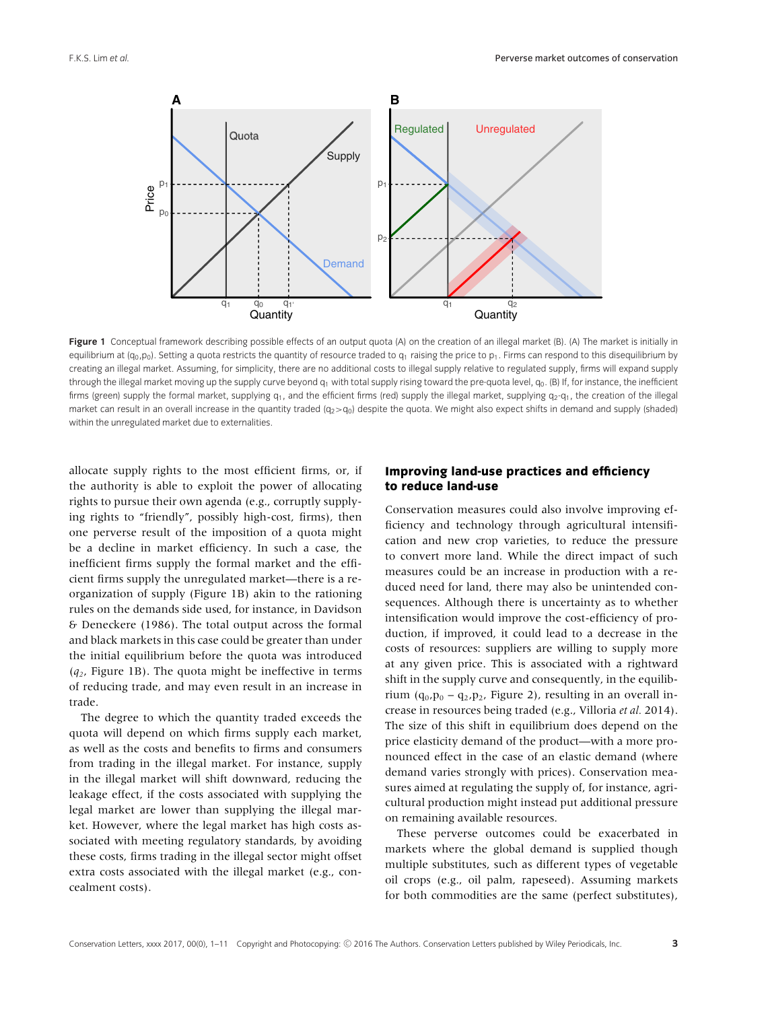

Figure 1 Conceptual framework describing possible effects of an output quota (A) on the creation of an illegal market (B). (A) The market is initially in equilibrium at  $(q_0, p_0)$ . Setting a quota restricts the quantity of resource traded to  $q_1$  raising the price to  $p_1$ . Firms can respond to this disequilibrium by creating an illegal market. Assuming, for simplicity, there are no additional costs to illegal supply relative to regulated supply, firms will expand supply through the illegal market moving up the supply curve beyond  $q_1$  with total supply rising toward the pre-quota level,  $q_0$ . (B) If, for instance, the inefficient firms (green) supply the formal market, supplying  $q_1$ , and the efficient firms (red) supply the illegal market, supplying  $q_2-q_1$ , the creation of the illegal market can result in an overall increase in the quantity traded (q<sub>2</sub>>q<sub>0</sub>) despite the quota. We might also expect shifts in demand and supply (shaded) within the unregulated market due to externalities.

allocate supply rights to the most efficient firms, or, if the authority is able to exploit the power of allocating rights to pursue their own agenda (e.g., corruptly supplying rights to "friendly", possibly high-cost, firms), then one perverse result of the imposition of a quota might be a decline in market efficiency. In such a case, the inefficient firms supply the formal market and the efficient firms supply the unregulated market—there is a reorganization of supply (Figure 1B) akin to the rationing rules on the demands side used, for instance, in Davidson & Deneckere (1986). The total output across the formal and black markets in this case could be greater than under the initial equilibrium before the quota was introduced (*q2*, Figure 1B). The quota might be ineffective in terms of reducing trade, and may even result in an increase in trade.

The degree to which the quantity traded exceeds the quota will depend on which firms supply each market, as well as the costs and benefits to firms and consumers from trading in the illegal market. For instance, supply in the illegal market will shift downward, reducing the leakage effect, if the costs associated with supplying the legal market are lower than supplying the illegal market. However, where the legal market has high costs associated with meeting regulatory standards, by avoiding these costs, firms trading in the illegal sector might offset extra costs associated with the illegal market (e.g., concealment costs).

# **Improving land-use practices and efficiency to reduce land-use**

Conservation measures could also involve improving efficiency and technology through agricultural intensification and new crop varieties, to reduce the pressure to convert more land. While the direct impact of such measures could be an increase in production with a reduced need for land, there may also be unintended consequences. Although there is uncertainty as to whether intensification would improve the cost-efficiency of production, if improved, it could lead to a decrease in the costs of resources: suppliers are willing to supply more at any given price. This is associated with a rightward shift in the supply curve and consequently, in the equilibrium  $(q_0, p_0 - q_2, p_2,$  Figure 2), resulting in an overall increase in resources being traded (e.g., Villoria *et al.* 2014). The size of this shift in equilibrium does depend on the price elasticity demand of the product—with a more pronounced effect in the case of an elastic demand (where demand varies strongly with prices). Conservation measures aimed at regulating the supply of, for instance, agricultural production might instead put additional pressure on remaining available resources.

These perverse outcomes could be exacerbated in markets where the global demand is supplied though multiple substitutes, such as different types of vegetable oil crops (e.g., oil palm, rapeseed). Assuming markets for both commodities are the same (perfect substitutes),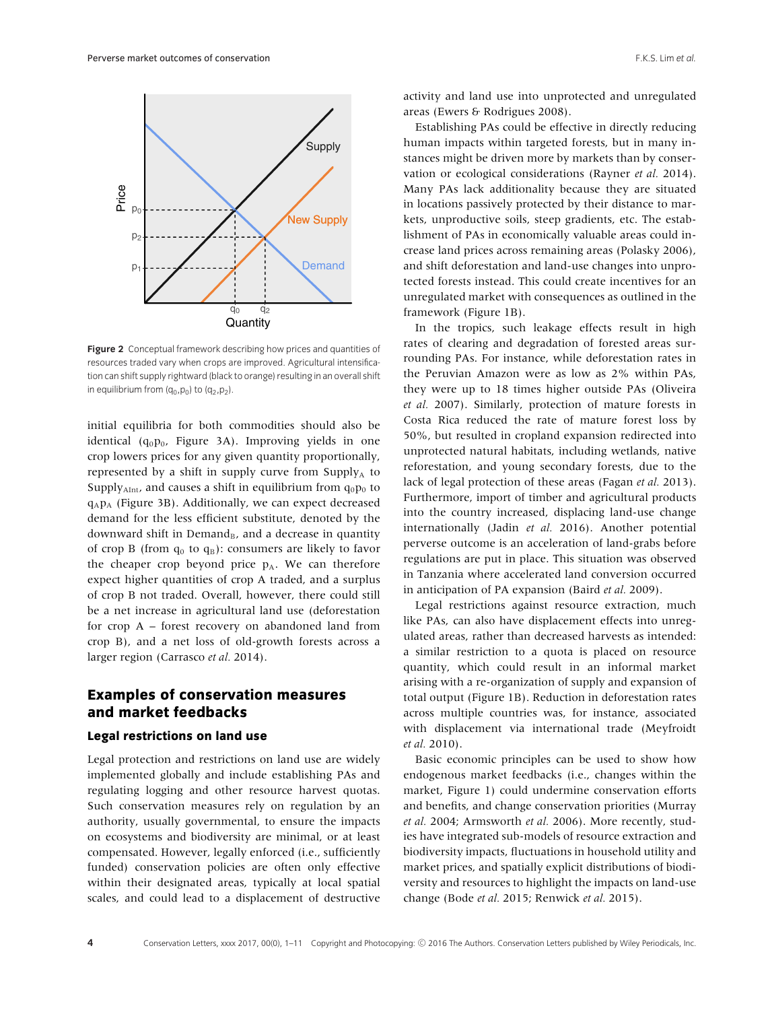

**Figure 2** Conceptual framework describing how prices and quantities of resources traded vary when crops are improved. Agricultural intensification can shift supply rightward (black to orange) resulting in an overall shift in equilibrium from  $(q_0, p_0)$  to  $(q_2, p_2)$ .

initial equilibria for both commodities should also be identical  $(q_0p_0,$  Figure 3A). Improving yields in one crop lowers prices for any given quantity proportionally, represented by a shift in supply curve from  $\text{Supply}_A$  to Supply<sub>AInt</sub>, and causes a shift in equilibrium from  $q_0p_0$  to  $q_Ap_A$  (Figure 3B). Additionally, we can expect decreased demand for the less efficient substitute, denoted by the downward shift in Demand $_B$ , and a decrease in quantity of crop B (from  $q_0$  to  $q_B$ ): consumers are likely to favor the cheaper crop beyond price  $p_A$ . We can therefore expect higher quantities of crop A traded, and a surplus of crop B not traded. Overall, however, there could still be a net increase in agricultural land use (deforestation for crop A – forest recovery on abandoned land from crop B), and a net loss of old-growth forests across a larger region (Carrasco *et al.* 2014).

# **Examples of conservation measures and market feedbacks**

## **Legal restrictions on land use**

Legal protection and restrictions on land use are widely implemented globally and include establishing PAs and regulating logging and other resource harvest quotas. Such conservation measures rely on regulation by an authority, usually governmental, to ensure the impacts on ecosystems and biodiversity are minimal, or at least compensated. However, legally enforced (i.e., sufficiently funded) conservation policies are often only effective within their designated areas, typically at local spatial scales, and could lead to a displacement of destructive

Establishing PAs could be effective in directly reducing human impacts within targeted forests, but in many instances might be driven more by markets than by conservation or ecological considerations (Rayner *et al.* 2014). Many PAs lack additionality because they are situated in locations passively protected by their distance to markets, unproductive soils, steep gradients, etc. The establishment of PAs in economically valuable areas could increase land prices across remaining areas (Polasky 2006), and shift deforestation and land-use changes into unprotected forests instead. This could create incentives for an unregulated market with consequences as outlined in the framework (Figure 1B).

In the tropics, such leakage effects result in high rates of clearing and degradation of forested areas surrounding PAs. For instance, while deforestation rates in the Peruvian Amazon were as low as 2% within PAs, they were up to 18 times higher outside PAs (Oliveira *et al.* 2007). Similarly, protection of mature forests in Costa Rica reduced the rate of mature forest loss by 50%, but resulted in cropland expansion redirected into unprotected natural habitats, including wetlands, native reforestation, and young secondary forests, due to the lack of legal protection of these areas (Fagan *et al.* 2013). Furthermore, import of timber and agricultural products into the country increased, displacing land-use change internationally (Jadin *et al.* 2016). Another potential perverse outcome is an acceleration of land-grabs before regulations are put in place. This situation was observed in Tanzania where accelerated land conversion occurred in anticipation of PA expansion (Baird *et al.* 2009).

Legal restrictions against resource extraction, much like PAs, can also have displacement effects into unregulated areas, rather than decreased harvests as intended: a similar restriction to a quota is placed on resource quantity, which could result in an informal market arising with a re-organization of supply and expansion of total output (Figure 1B). Reduction in deforestation rates across multiple countries was, for instance, associated with displacement via international trade (Meyfroidt *et al.* 2010).

Basic economic principles can be used to show how endogenous market feedbacks (i.e., changes within the market, Figure 1) could undermine conservation efforts and benefits, and change conservation priorities (Murray *et al.* 2004; Armsworth *et al.* 2006). More recently, studies have integrated sub-models of resource extraction and biodiversity impacts, fluctuations in household utility and market prices, and spatially explicit distributions of biodiversity and resources to highlight the impacts on land-use change (Bode *et al.* 2015; Renwick *et al.* 2015).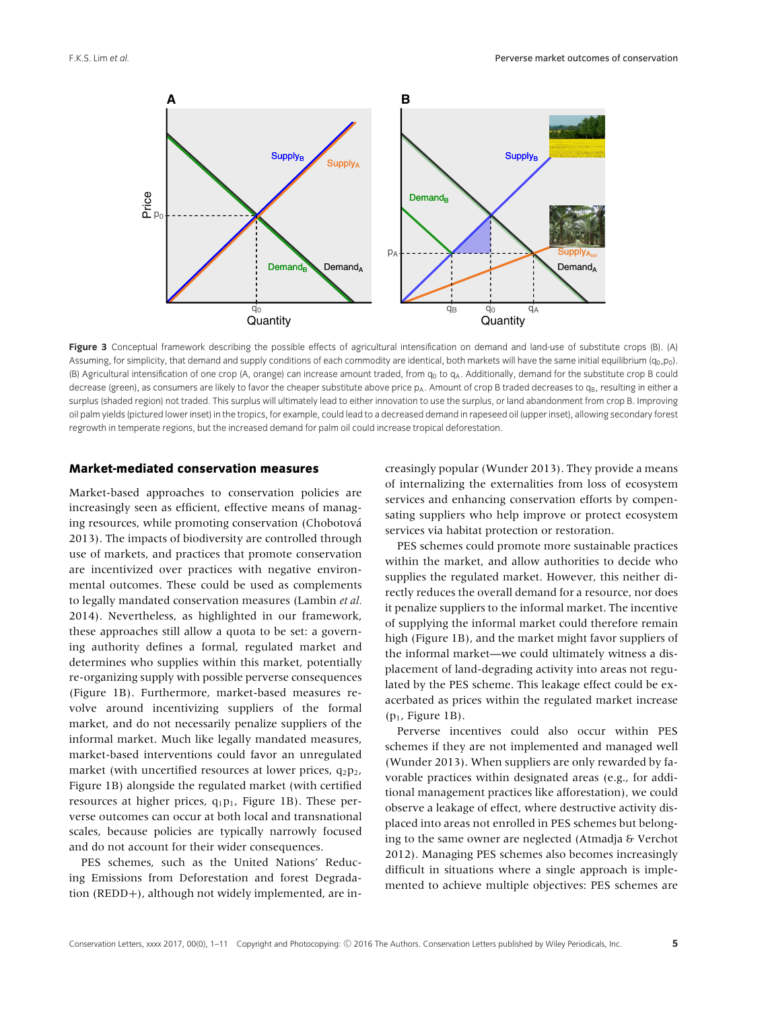

**Figure 3** Conceptual framework describing the possible effects of agricultural intensification on demand and land-use of substitute crops (B). (A) Assuming, for simplicity, that demand and supply conditions of each commodity are identical, both markets will have the same initial equilibrium (q<sub>0</sub>,p<sub>0</sub>). (B) Agricultural intensification of one crop (A, orange) can increase amount traded, from  $q_0$  to  $q_A$ . Additionally, demand for the substitute crop B could decrease (green), as consumers are likely to favor the cheaper substitute above price  $p_A$ . Amount of crop B traded decreases to  $q_B$ , resulting in either a surplus (shaded region) not traded. This surplus will ultimately lead to either innovation to use the surplus, or land abandonment from crop B. Improving oil palm yields (pictured lower inset) in the tropics, for example, could lead to a decreased demand in rapeseed oil (upper inset), allowing secondary forest regrowth in temperate regions, but the increased demand for palm oil could increase tropical deforestation.

## **Market-mediated conservation measures**

Market-based approaches to conservation policies are increasingly seen as efficient, effective means of managing resources, while promoting conservation (Chobotová 2013). The impacts of biodiversity are controlled through use of markets, and practices that promote conservation are incentivized over practices with negative environmental outcomes. These could be used as complements to legally mandated conservation measures (Lambin *et al.* 2014). Nevertheless, as highlighted in our framework, these approaches still allow a quota to be set: a governing authority defines a formal, regulated market and determines who supplies within this market, potentially re-organizing supply with possible perverse consequences (Figure 1B). Furthermore, market-based measures revolve around incentivizing suppliers of the formal market, and do not necessarily penalize suppliers of the informal market. Much like legally mandated measures, market-based interventions could favor an unregulated market (with uncertified resources at lower prices,  $q_2p_2$ , Figure 1B) alongside the regulated market (with certified resources at higher prices,  $q_1p_1$ , Figure 1B). These perverse outcomes can occur at both local and transnational scales, because policies are typically narrowly focused and do not account for their wider consequences.

PES schemes, such as the United Nations' Reducing Emissions from Deforestation and forest Degradation (REDD+), although not widely implemented, are increasingly popular (Wunder 2013). They provide a means of internalizing the externalities from loss of ecosystem services and enhancing conservation efforts by compensating suppliers who help improve or protect ecosystem services via habitat protection or restoration.

PES schemes could promote more sustainable practices within the market, and allow authorities to decide who supplies the regulated market. However, this neither directly reduces the overall demand for a resource, nor does it penalize suppliers to the informal market. The incentive of supplying the informal market could therefore remain high (Figure 1B), and the market might favor suppliers of the informal market—we could ultimately witness a displacement of land-degrading activity into areas not regulated by the PES scheme. This leakage effect could be exacerbated as prices within the regulated market increase  $(p_1,$  Figure 1B).

Perverse incentives could also occur within PES schemes if they are not implemented and managed well (Wunder 2013). When suppliers are only rewarded by favorable practices within designated areas (e.g., for additional management practices like afforestation), we could observe a leakage of effect, where destructive activity displaced into areas not enrolled in PES schemes but belonging to the same owner are neglected (Atmadja & Verchot 2012). Managing PES schemes also becomes increasingly difficult in situations where a single approach is implemented to achieve multiple objectives: PES schemes are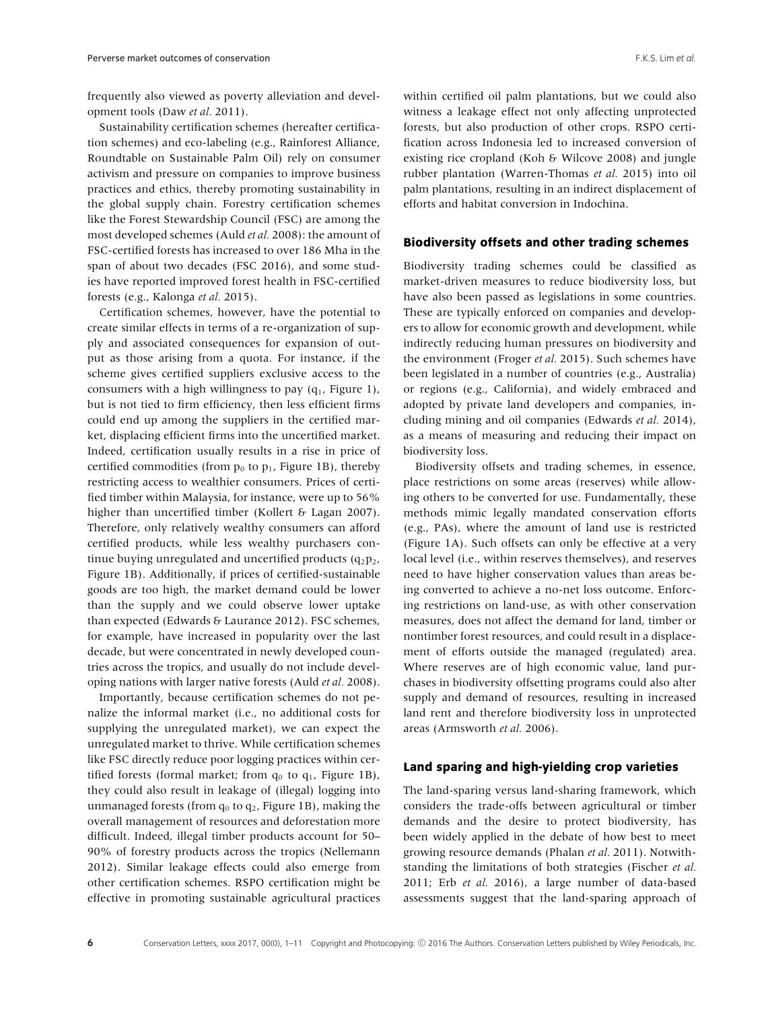frequently also viewed as poverty alleviation and development tools (Daw *et al.* 2011).

Sustainability certification schemes (hereafter certification schemes) and eco-labeling (e.g., Rainforest Alliance, Roundtable on Sustainable Palm Oil) rely on consumer activism and pressure on companies to improve business practices and ethics, thereby promoting sustainability in the global supply chain. Forestry certification schemes like the Forest Stewardship Council (FSC) are among the most developed schemes (Auld *et al.* 2008): the amount of FSC-certified forests has increased to over 186 Mha in the span of about two decades (FSC 2016), and some studies have reported improved forest health in FSC-certified forests (e.g., Kalonga *et al.* 2015).

Certification schemes, however, have the potential to create similar effects in terms of a re-organization of supply and associated consequences for expansion of output as those arising from a quota. For instance, if the scheme gives certified suppliers exclusive access to the consumers with a high willingness to pay  $(q_1,$  Figure 1), but is not tied to firm efficiency, then less efficient firms could end up among the suppliers in the certified market, displacing efficient firms into the uncertified market. Indeed, certification usually results in a rise in price of certified commodities (from  $p_0$  to  $p_1$ , Figure 1B), thereby restricting access to wealthier consumers. Prices of certified timber within Malaysia, for instance, were up to 56% higher than uncertified timber (Kollert & Lagan 2007). Therefore, only relatively wealthy consumers can afford certified products, while less wealthy purchasers continue buying unregulated and uncertified products  $(q_2p_2,$ Figure 1B). Additionally, if prices of certified-sustainable goods are too high, the market demand could be lower than the supply and we could observe lower uptake than expected (Edwards & Laurance 2012). FSC schemes, for example, have increased in popularity over the last decade, but were concentrated in newly developed countries across the tropics, and usually do not include developing nations with larger native forests (Auld *et al.* 2008).

Importantly, because certification schemes do not penalize the informal market (i.e., no additional costs for supplying the unregulated market), we can expect the unregulated market to thrive. While certification schemes like FSC directly reduce poor logging practices within certified forests (formal market; from  $q_0$  to  $q_1$ , Figure 1B), they could also result in leakage of (illegal) logging into unmanaged forests (from  $q_0$  to  $q_2$ , Figure 1B), making the overall management of resources and deforestation more difficult. Indeed, illegal timber products account for 50– 90% of forestry products across the tropics (Nellemann 2012). Similar leakage effects could also emerge from other certification schemes. RSPO certification might be effective in promoting sustainable agricultural practices within certified oil palm plantations, but we could also witness a leakage effect not only affecting unprotected forests, but also production of other crops. RSPO certification across Indonesia led to increased conversion of existing rice cropland (Koh & Wilcove 2008) and jungle rubber plantation (Warren-Thomas *et al.* 2015) into oil palm plantations, resulting in an indirect displacement of efforts and habitat conversion in Indochina.

#### **Biodiversity offsets and other trading schemes**

Biodiversity trading schemes could be classified as market-driven measures to reduce biodiversity loss, but have also been passed as legislations in some countries. These are typically enforced on companies and developers to allow for economic growth and development, while indirectly reducing human pressures on biodiversity and the environment (Froger *et al.* 2015). Such schemes have been legislated in a number of countries (e.g., Australia) or regions (e.g., California), and widely embraced and adopted by private land developers and companies, including mining and oil companies (Edwards *et al.* 2014), as a means of measuring and reducing their impact on biodiversity loss.

Biodiversity offsets and trading schemes, in essence, place restrictions on some areas (reserves) while allowing others to be converted for use. Fundamentally, these methods mimic legally mandated conservation efforts (e.g., PAs), where the amount of land use is restricted (Figure 1A). Such offsets can only be effective at a very local level (i.e., within reserves themselves), and reserves need to have higher conservation values than areas being converted to achieve a no-net loss outcome. Enforcing restrictions on land-use, as with other conservation measures, does not affect the demand for land, timber or nontimber forest resources, and could result in a displacement of efforts outside the managed (regulated) area. Where reserves are of high economic value, land purchases in biodiversity offsetting programs could also alter supply and demand of resources, resulting in increased land rent and therefore biodiversity loss in unprotected areas (Armsworth *et al.* 2006).

## **Land sparing and high-yielding crop varieties**

The land-sparing versus land-sharing framework, which considers the trade-offs between agricultural or timber demands and the desire to protect biodiversity, has been widely applied in the debate of how best to meet growing resource demands (Phalan *et al.* 2011). Notwithstanding the limitations of both strategies (Fischer *et al.* 2011; Erb *et al.* 2016), a large number of data-based assessments suggest that the land-sparing approach of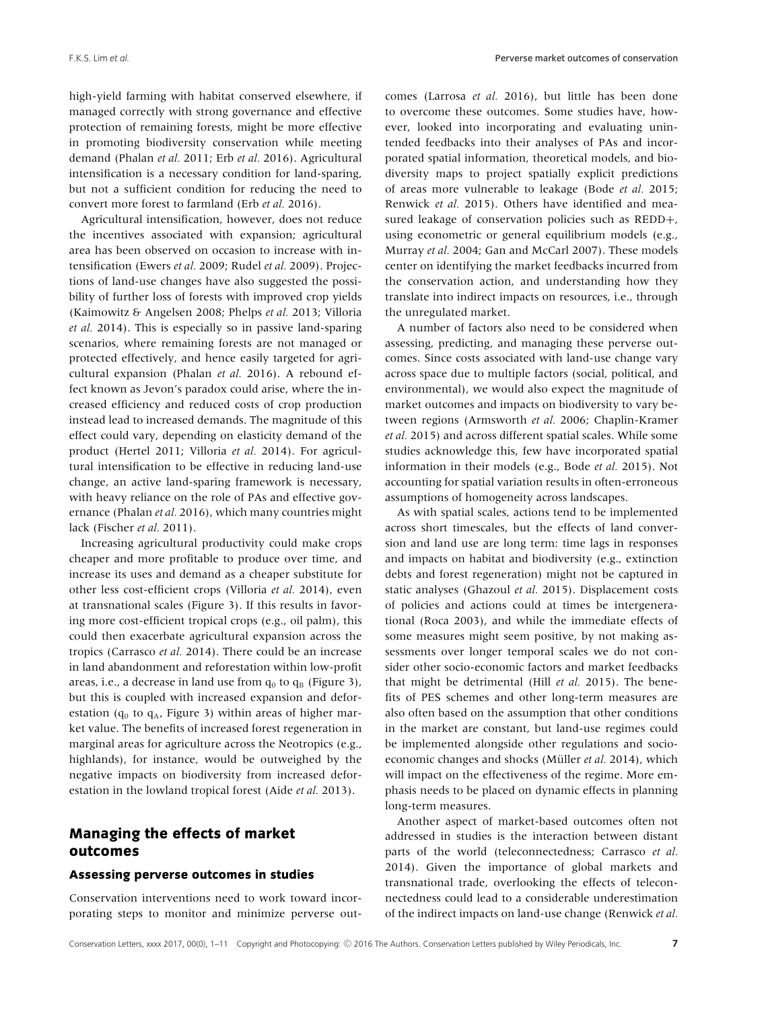high-yield farming with habitat conserved elsewhere, if managed correctly with strong governance and effective protection of remaining forests, might be more effective in promoting biodiversity conservation while meeting demand (Phalan *et al.* 2011; Erb *et al.* 2016). Agricultural intensification is a necessary condition for land-sparing, but not a sufficient condition for reducing the need to convert more forest to farmland (Erb *et al.* 2016).

Agricultural intensification, however, does not reduce the incentives associated with expansion; agricultural area has been observed on occasion to increase with intensification (Ewers *et al.* 2009; Rudel *et al.* 2009). Projections of land-use changes have also suggested the possibility of further loss of forests with improved crop yields (Kaimowitz & Angelsen 2008; Phelps *et al.* 2013; Villoria *et al.* 2014). This is especially so in passive land-sparing scenarios, where remaining forests are not managed or protected effectively, and hence easily targeted for agricultural expansion (Phalan *et al.* 2016). A rebound effect known as Jevon's paradox could arise, where the increased efficiency and reduced costs of crop production instead lead to increased demands. The magnitude of this effect could vary, depending on elasticity demand of the product (Hertel 2011; Villoria *et al.* 2014). For agricultural intensification to be effective in reducing land-use change, an active land-sparing framework is necessary, with heavy reliance on the role of PAs and effective governance (Phalan *et al.* 2016), which many countries might lack (Fischer *et al.* 2011).

Increasing agricultural productivity could make crops cheaper and more profitable to produce over time, and increase its uses and demand as a cheaper substitute for other less cost-efficient crops (Villoria *et al.* 2014), even at transnational scales (Figure 3). If this results in favoring more cost-efficient tropical crops (e.g., oil palm), this could then exacerbate agricultural expansion across the tropics (Carrasco *et al.* 2014). There could be an increase in land abandonment and reforestation within low-profit areas, i.e., a decrease in land use from  $q_0$  to  $q_B$  (Figure 3), but this is coupled with increased expansion and deforestation ( $q_0$  to  $q_A$ , Figure 3) within areas of higher market value. The benefits of increased forest regeneration in marginal areas for agriculture across the Neotropics (e.g., highlands), for instance, would be outweighed by the negative impacts on biodiversity from increased deforestation in the lowland tropical forest (Aide *et al.* 2013).

# **Managing the effects of market outcomes**

#### **Assessing perverse outcomes in studies**

Conservation interventions need to work toward incorporating steps to monitor and minimize perverse outcomes (Larrosa *et al.* 2016), but little has been done to overcome these outcomes. Some studies have, however, looked into incorporating and evaluating unintended feedbacks into their analyses of PAs and incorporated spatial information, theoretical models, and biodiversity maps to project spatially explicit predictions of areas more vulnerable to leakage (Bode *et al.* 2015; Renwick *et al.* 2015). Others have identified and measured leakage of conservation policies such as REDD+, using econometric or general equilibrium models (e.g., Murray *et al.* 2004; Gan and McCarl 2007). These models center on identifying the market feedbacks incurred from the conservation action, and understanding how they translate into indirect impacts on resources, i.e., through the unregulated market.

A number of factors also need to be considered when assessing, predicting, and managing these perverse outcomes. Since costs associated with land-use change vary across space due to multiple factors (social, political, and environmental), we would also expect the magnitude of market outcomes and impacts on biodiversity to vary between regions (Armsworth *et al.* 2006; Chaplin-Kramer *et al.* 2015) and across different spatial scales. While some studies acknowledge this, few have incorporated spatial information in their models (e.g., Bode *et al.* 2015). Not accounting for spatial variation results in often-erroneous assumptions of homogeneity across landscapes.

As with spatial scales, actions tend to be implemented across short timescales, but the effects of land conversion and land use are long term: time lags in responses and impacts on habitat and biodiversity (e.g., extinction debts and forest regeneration) might not be captured in static analyses (Ghazoul *et al.* 2015). Displacement costs of policies and actions could at times be intergenerational (Roca 2003), and while the immediate effects of some measures might seem positive, by not making assessments over longer temporal scales we do not consider other socio-economic factors and market feedbacks that might be detrimental (Hill *et al.* 2015). The benefits of PES schemes and other long-term measures are also often based on the assumption that other conditions in the market are constant, but land-use regimes could be implemented alongside other regulations and socioeconomic changes and shocks (Müller et al. 2014), which will impact on the effectiveness of the regime. More emphasis needs to be placed on dynamic effects in planning long-term measures.

Another aspect of market-based outcomes often not addressed in studies is the interaction between distant parts of the world (teleconnectedness; Carrasco *et al.* 2014). Given the importance of global markets and transnational trade, overlooking the effects of teleconnectedness could lead to a considerable underestimation of the indirect impacts on land-use change (Renwick *et al.*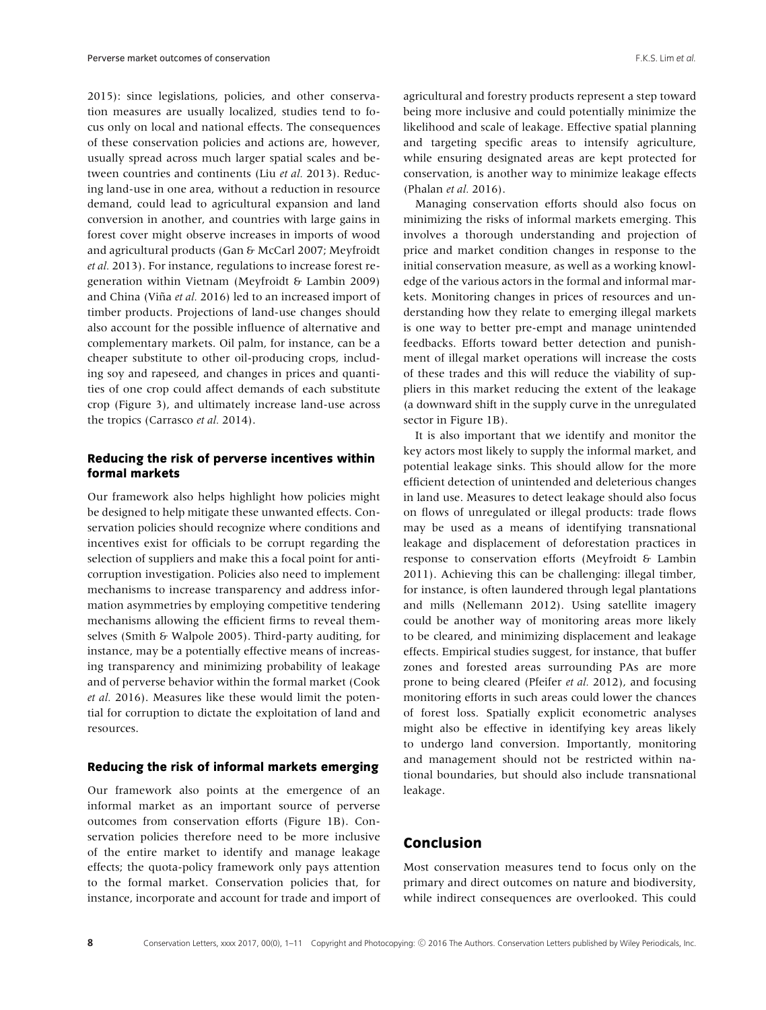2015): since legislations, policies, and other conservation measures are usually localized, studies tend to focus only on local and national effects. The consequences of these conservation policies and actions are, however, usually spread across much larger spatial scales and between countries and continents (Liu *et al.* 2013). Reducing land-use in one area, without a reduction in resource demand, could lead to agricultural expansion and land conversion in another, and countries with large gains in forest cover might observe increases in imports of wood and agricultural products (Gan & McCarl 2007; Meyfroidt *et al.* 2013). For instance, regulations to increase forest regeneration within Vietnam (Meyfroidt & Lambin 2009) and China (Viña et al. 2016) led to an increased import of timber products. Projections of land-use changes should also account for the possible influence of alternative and complementary markets. Oil palm, for instance, can be a cheaper substitute to other oil-producing crops, including soy and rapeseed, and changes in prices and quantities of one crop could affect demands of each substitute crop (Figure 3), and ultimately increase land-use across the tropics (Carrasco *et al.* 2014).

# **Reducing the risk of perverse incentives within formal markets**

Our framework also helps highlight how policies might be designed to help mitigate these unwanted effects. Conservation policies should recognize where conditions and incentives exist for officials to be corrupt regarding the selection of suppliers and make this a focal point for anticorruption investigation. Policies also need to implement mechanisms to increase transparency and address information asymmetries by employing competitive tendering mechanisms allowing the efficient firms to reveal themselves (Smith & Walpole 2005). Third-party auditing, for instance, may be a potentially effective means of increasing transparency and minimizing probability of leakage and of perverse behavior within the formal market (Cook *et al.* 2016). Measures like these would limit the potential for corruption to dictate the exploitation of land and resources.

## **Reducing the risk of informal markets emerging**

Our framework also points at the emergence of an informal market as an important source of perverse outcomes from conservation efforts (Figure 1B). Conservation policies therefore need to be more inclusive of the entire market to identify and manage leakage effects; the quota-policy framework only pays attention to the formal market. Conservation policies that, for instance, incorporate and account for trade and import of agricultural and forestry products represent a step toward being more inclusive and could potentially minimize the likelihood and scale of leakage. Effective spatial planning and targeting specific areas to intensify agriculture, while ensuring designated areas are kept protected for conservation, is another way to minimize leakage effects (Phalan *et al.* 2016).

Managing conservation efforts should also focus on minimizing the risks of informal markets emerging. This involves a thorough understanding and projection of price and market condition changes in response to the initial conservation measure, as well as a working knowledge of the various actors in the formal and informal markets. Monitoring changes in prices of resources and understanding how they relate to emerging illegal markets is one way to better pre-empt and manage unintended feedbacks. Efforts toward better detection and punishment of illegal market operations will increase the costs of these trades and this will reduce the viability of suppliers in this market reducing the extent of the leakage (a downward shift in the supply curve in the unregulated sector in Figure 1B).

It is also important that we identify and monitor the key actors most likely to supply the informal market, and potential leakage sinks. This should allow for the more efficient detection of unintended and deleterious changes in land use. Measures to detect leakage should also focus on flows of unregulated or illegal products: trade flows may be used as a means of identifying transnational leakage and displacement of deforestation practices in response to conservation efforts (Meyfroidt & Lambin 2011). Achieving this can be challenging: illegal timber, for instance, is often laundered through legal plantations and mills (Nellemann 2012). Using satellite imagery could be another way of monitoring areas more likely to be cleared, and minimizing displacement and leakage effects. Empirical studies suggest, for instance, that buffer zones and forested areas surrounding PAs are more prone to being cleared (Pfeifer *et al.* 2012), and focusing monitoring efforts in such areas could lower the chances of forest loss. Spatially explicit econometric analyses might also be effective in identifying key areas likely to undergo land conversion. Importantly, monitoring and management should not be restricted within national boundaries, but should also include transnational leakage.

# **Conclusion**

Most conservation measures tend to focus only on the primary and direct outcomes on nature and biodiversity, while indirect consequences are overlooked. This could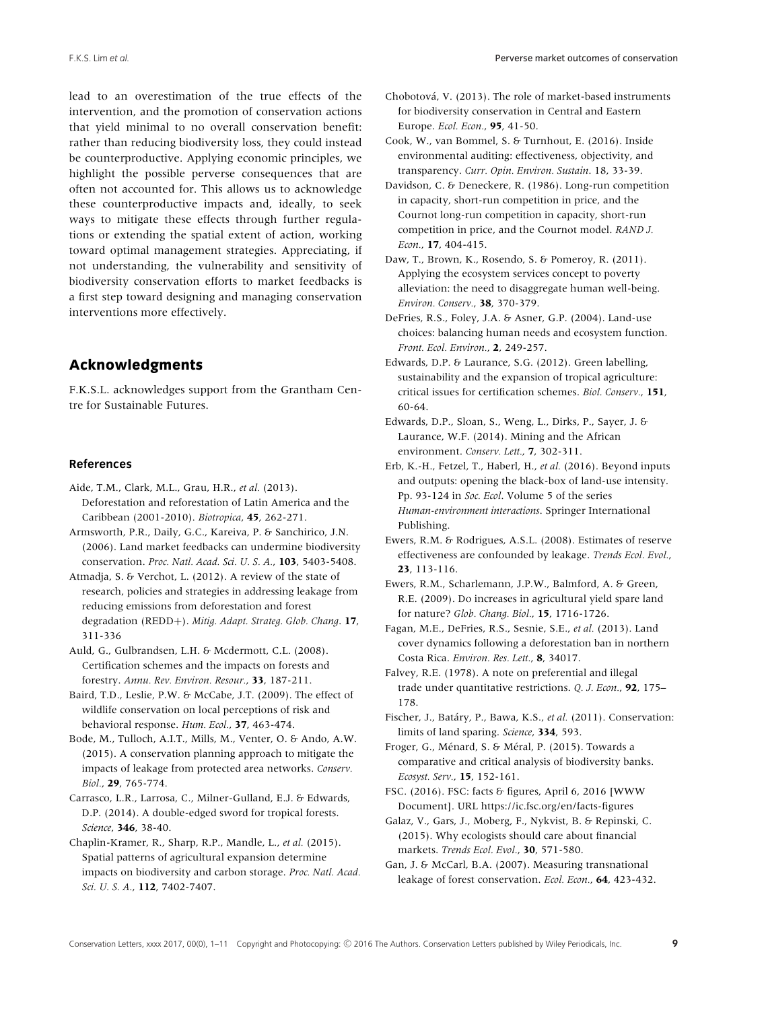lead to an overestimation of the true effects of the intervention, and the promotion of conservation actions that yield minimal to no overall conservation benefit: rather than reducing biodiversity loss, they could instead be counterproductive. Applying economic principles, we highlight the possible perverse consequences that are often not accounted for. This allows us to acknowledge these counterproductive impacts and, ideally, to seek ways to mitigate these effects through further regulations or extending the spatial extent of action, working toward optimal management strategies. Appreciating, if not understanding, the vulnerability and sensitivity of biodiversity conservation efforts to market feedbacks is a first step toward designing and managing conservation interventions more effectively.

# **Acknowledgments**

F.K.S.L. acknowledges support from the Grantham Centre for Sustainable Futures.

#### **References**

- Aide, T.M., Clark, M.L., Grau, H.R., *et al.* (2013). Deforestation and reforestation of Latin America and the Caribbean (2001-2010). *Biotropica*, **45**, 262-271.
- Armsworth, P.R., Daily, G.C., Kareiva, P. & Sanchirico, J.N. (2006). Land market feedbacks can undermine biodiversity conservation. *Proc. Natl. Acad. Sci. U. S. A.*, **103**, 5403-5408.
- Atmadja, S. & Verchot, L. (2012). A review of the state of research, policies and strategies in addressing leakage from reducing emissions from deforestation and forest degradation (REDD+). *Mitig. Adapt. Strateg. Glob. Chang*. **17**, 311-336
- Auld, G., Gulbrandsen, L.H. & Mcdermott, C.L. (2008). Certification schemes and the impacts on forests and forestry. *Annu. Rev. Environ. Resour.*, **33**, 187-211.
- Baird, T.D., Leslie, P.W. & McCabe, J.T. (2009). The effect of wildlife conservation on local perceptions of risk and behavioral response. *Hum. Ecol.*, **37**, 463-474.
- Bode, M., Tulloch, A.I.T., Mills, M., Venter, O. & Ando, A.W. (2015). A conservation planning approach to mitigate the impacts of leakage from protected area networks. *Conserv. Biol.*, **29**, 765-774.
- Carrasco, L.R., Larrosa, C., Milner-Gulland, E.J. & Edwards, D.P. (2014). A double-edged sword for tropical forests. *Science*, **346**, 38-40.
- Chaplin-Kramer, R., Sharp, R.P., Mandle, L., *et al.* (2015). Spatial patterns of agricultural expansion determine impacts on biodiversity and carbon storage. *Proc. Natl. Acad. Sci. U. S. A.*, **112**, 7402-7407.

Chobotová, V. (2013). The role of market-based instruments for biodiversity conservation in Central and Eastern Europe. *Ecol. Econ.*, **95**, 41-50.

Cook, W., van Bommel, S. & Turnhout, E. (2016). Inside environmental auditing: effectiveness, objectivity, and transparency. *Curr. Opin. Environ. Sustain*. 18, 33-39.

- Davidson, C. & Deneckere, R. (1986). Long-run competition in capacity, short-run competition in price, and the Cournot long-run competition in capacity, short-run competition in price, and the Cournot model. *RAND J. Econ.*, **17**, 404-415.
- Daw, T., Brown, K., Rosendo, S. & Pomeroy, R. (2011). Applying the ecosystem services concept to poverty alleviation: the need to disaggregate human well-being. *Environ. Conserv.*, **38**, 370-379.
- DeFries, R.S., Foley, J.A. & Asner, G.P. (2004). Land-use choices: balancing human needs and ecosystem function. *Front. Ecol. Environ.*, **2**, 249-257.
- Edwards, D.P. & Laurance, S.G. (2012). Green labelling, sustainability and the expansion of tropical agriculture: critical issues for certification schemes. *Biol. Conserv.*, **151**, 60-64.
- Edwards, D.P., Sloan, S., Weng, L., Dirks, P., Sayer, J. & Laurance, W.F. (2014). Mining and the African environment. *Conserv. Lett.*, **7**, 302-311.
- Erb, K.-H., Fetzel, T., Haberl, H., *et al.* (2016). Beyond inputs and outputs: opening the black-box of land-use intensity. Pp. 93-124 in *Soc. Ecol*. Volume 5 of the series *Human-environment interactions*. Springer International Publishing.
- Ewers, R.M. & Rodrigues, A.S.L. (2008). Estimates of reserve effectiveness are confounded by leakage. *Trends Ecol. Evol.*, **23**, 113-116.
- Ewers, R.M., Scharlemann, J.P.W., Balmford, A. & Green, R.E. (2009). Do increases in agricultural yield spare land for nature? *Glob. Chang. Biol.*, **15**, 1716-1726.
- Fagan, M.E., DeFries, R.S., Sesnie, S.E., *et al.* (2013). Land cover dynamics following a deforestation ban in northern Costa Rica. *Environ. Res. Lett.*, **8**, 34017.
- Falvey, R.E. (1978). A note on preferential and illegal trade under quantitative restrictions. *Q. J. Econ.*, **92**, 175– 178.
- Fischer, J., Batáry, P., Bawa, K.S., et al. (2011). Conservation: limits of land sparing. *Science*, **334**, 593.
- Froger, G., Ménard, S. & Méral, P. (2015). Towards a comparative and critical analysis of biodiversity banks. *Ecosyst. Serv.*, **15**, 152-161.
- FSC. (2016). FSC: facts & figures, April 6, 2016 [WWW Document]. URL https://ic.fsc.org/en/facts-figures
- Galaz, V., Gars, J., Moberg, F., Nykvist, B. & Repinski, C. (2015). Why ecologists should care about financial markets. *Trends Ecol. Evol.*, **30**, 571-580.
- Gan, J. & McCarl, B.A. (2007). Measuring transnational leakage of forest conservation. *Ecol. Econ.*, **64**, 423-432.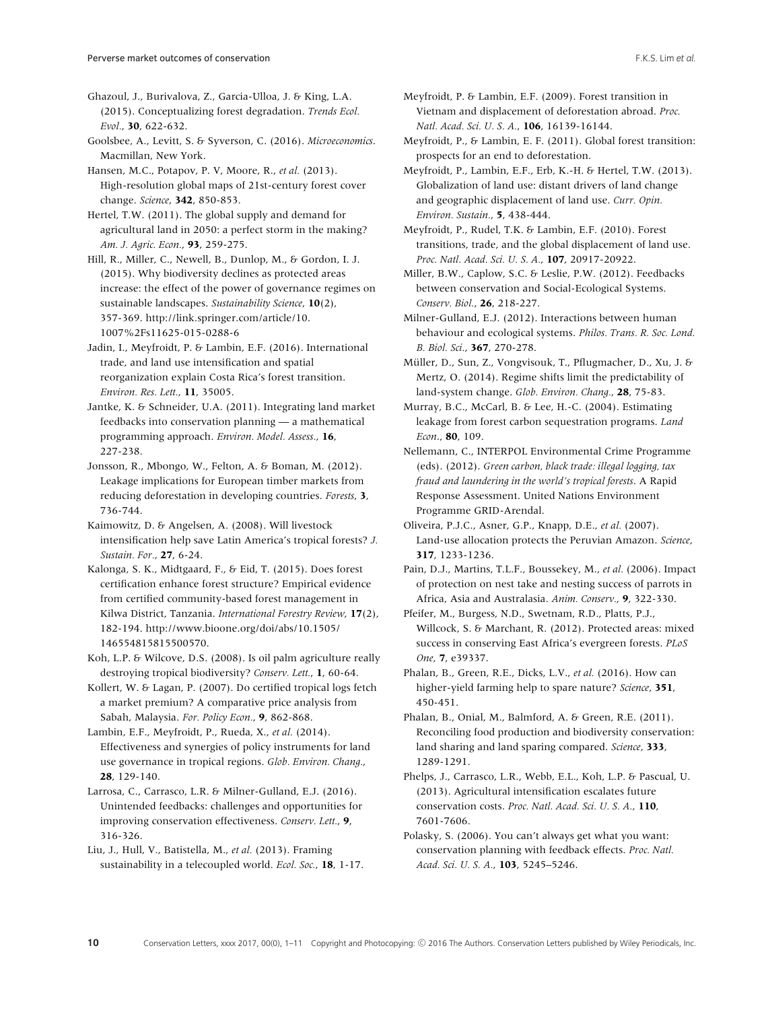Ghazoul, J., Burivalova, Z., Garcia-Ulloa, J. & King, L.A. (2015). Conceptualizing forest degradation. *Trends Ecol. Evol.*, **30**, 622-632.

Goolsbee, A., Levitt, S. & Syverson, C. (2016). *Microeconomics*. Macmillan, New York.

Hansen, M.C., Potapov, P. V, Moore, R., *et al.* (2013). High-resolution global maps of 21st-century forest cover change. *Science*, **342**, 850-853.

Hertel, T.W. (2011). The global supply and demand for agricultural land in 2050: a perfect storm in the making? *Am. J. Agric. Econ.*, **93**, 259-275.

Hill, R., Miller, C., Newell, B., Dunlop, M., & Gordon, I. J. (2015). Why biodiversity declines as protected areas increase: the effect of the power of governance regimes on sustainable landscapes. *Sustainability Science*, **10**(2), 357-369. http://link.springer.com/article/10. 1007%2Fs11625-015-0288-6

Jadin, I., Meyfroidt, P. & Lambin, E.F. (2016). International trade, and land use intensification and spatial reorganization explain Costa Rica's forest transition. *Environ. Res. Lett.*, **11**, 35005.

Jantke, K. & Schneider, U.A. (2011). Integrating land market feedbacks into conservation planning — a mathematical programming approach. *Environ. Model. Assess.*, **16**, 227-238.

Jonsson, R., Mbongo, W., Felton, A. & Boman, M. (2012). Leakage implications for European timber markets from reducing deforestation in developing countries. *Forests*, **3**, 736-744.

Kaimowitz, D. & Angelsen, A. (2008). Will livestock intensification help save Latin America's tropical forests? *J. Sustain. For.*, **27**, 6-24.

Kalonga, S. K., Midtgaard, F., & Eid, T. (2015). Does forest certification enhance forest structure? Empirical evidence from certified community-based forest management in Kilwa District, Tanzania. *International Forestry Review*, **17**(2), 182-194. http://www.bioone.org/doi/abs/10.1505/ 146554815815500570.

Koh, L.P. & Wilcove, D.S. (2008). Is oil palm agriculture really destroying tropical biodiversity? *Conserv. Lett.*, **1**, 60-64.

Kollert, W. & Lagan, P. (2007). Do certified tropical logs fetch a market premium? A comparative price analysis from Sabah, Malaysia. *For. Policy Econ.*, **9**, 862-868.

Lambin, E.F., Meyfroidt, P., Rueda, X., *et al.* (2014). Effectiveness and synergies of policy instruments for land use governance in tropical regions. *Glob. Environ. Chang.*, **28**, 129-140.

Larrosa, C., Carrasco, L.R. & Milner-Gulland, E.J. (2016). Unintended feedbacks: challenges and opportunities for improving conservation effectiveness. *Conserv. Lett.*, **9**, 316-326.

Liu, J., Hull, V., Batistella, M., *et al.* (2013). Framing sustainability in a telecoupled world. *Ecol. Soc.*, **18**, 1-17. Meyfroidt, P. & Lambin, E.F. (2009). Forest transition in Vietnam and displacement of deforestation abroad. *Proc. Natl. Acad. Sci. U. S. A.*, **106**, 16139-16144.

Meyfroidt, P., & Lambin, E. F. (2011). Global forest transition: prospects for an end to deforestation.

Meyfroidt, P., Lambin, E.F., Erb, K.-H. & Hertel, T.W. (2013). Globalization of land use: distant drivers of land change and geographic displacement of land use. *Curr. Opin. Environ. Sustain.*, **5**, 438-444.

Meyfroidt, P., Rudel, T.K. & Lambin, E.F. (2010). Forest transitions, trade, and the global displacement of land use. *Proc. Natl. Acad. Sci. U. S. A.*, **107**, 20917-20922.

Miller, B.W., Caplow, S.C. & Leslie, P.W. (2012). Feedbacks between conservation and Social-Ecological Systems. *Conserv. Biol.*, **26**, 218-227.

Milner-Gulland, E.J. (2012). Interactions between human behaviour and ecological systems. *Philos. Trans. R. Soc. Lond. B. Biol. Sci.*, **367**, 270-278.

Müller, D., Sun, Z., Vongvisouk, T., Pflugmacher, D., Xu, J. & Mertz, O. (2014). Regime shifts limit the predictability of land-system change. *Glob. Environ. Chang.*, **28**, 75-83.

Murray, B.C., McCarl, B. & Lee, H.-C. (2004). Estimating leakage from forest carbon sequestration programs. *Land Econ*., **80**, 109.

Nellemann, C., INTERPOL Environmental Crime Programme (eds). (2012). *Green carbon, black trade: illegal logging, tax fraud and laundering in the world's tropical forests*. A Rapid Response Assessment. United Nations Environment Programme GRID-Arendal.

Oliveira, P.J.C., Asner, G.P., Knapp, D.E., *et al.* (2007). Land-use allocation protects the Peruvian Amazon. *Science*, **317**, 1233-1236.

Pain, D.J., Martins, T.L.F., Boussekey, M., *et al.* (2006). Impact of protection on nest take and nesting success of parrots in Africa, Asia and Australasia. *Anim. Conserv.*, **9**, 322-330.

Pfeifer, M., Burgess, N.D., Swetnam, R.D., Platts, P.J., Willcock, S. & Marchant, R. (2012). Protected areas: mixed success in conserving East Africa's evergreen forests. *PLoS One*, **7**, e39337.

Phalan, B., Green, R.E., Dicks, L.V., *et al.* (2016). How can higher-yield farming help to spare nature? *Science*, **351**, 450-451.

Phalan, B., Onial, M., Balmford, A. & Green, R.E. (2011). Reconciling food production and biodiversity conservation: land sharing and land sparing compared. *Science*, **333**, 1289-1291.

Phelps, J., Carrasco, L.R., Webb, E.L., Koh, L.P. & Pascual, U. (2013). Agricultural intensification escalates future conservation costs. *Proc. Natl. Acad. Sci. U. S. A.*, **110**, 7601-7606.

Polasky, S. (2006). You can't always get what you want: conservation planning with feedback effects. *Proc. Natl. Acad. Sci. U. S. A.*, **103**, 5245–5246.